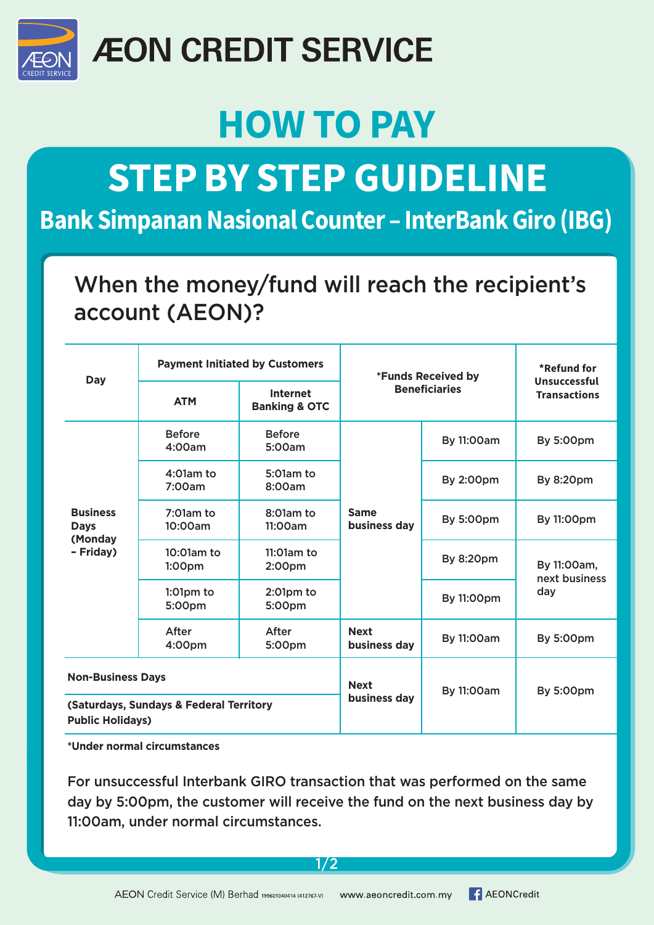

### **ÆON CREDIT SERVICE**

### **HOW TO PAY**

## **STEP BY STEP GUIDELINE**

#### **Bank Simpanan Nasional Counter – InterBank Giro (IBG)**

#### When the money/fund will reach the recipient's account (AEON)?

| <b>Day</b>                                                         | <b>Payment Initiated by Customers</b> |                                             | *Funds Received by          |                   | *Refund for                                |
|--------------------------------------------------------------------|---------------------------------------|---------------------------------------------|-----------------------------|-------------------|--------------------------------------------|
|                                                                    | <b>ATM</b>                            | <b>Internet</b><br><b>Banking &amp; OTC</b> | <b>Beneficiaries</b>        |                   | <b>Unsuccessful</b><br><b>Transactions</b> |
| <b>Business</b><br><b>Days</b><br>(Monday<br>- Friday)             | <b>Before</b><br>4:00am               | <b>Before</b><br>5:00am                     | <b>Same</b><br>business day | By 11:00am        | <b>By 5:00pm</b>                           |
|                                                                    | $4:01$ am to<br>7:00am                | $5:01$ am to<br>8:00am                      |                             | <b>By 2:00pm</b>  | <b>By 8:20pm</b>                           |
|                                                                    | $7:01am$ to<br>10:00am                | $8:01$ am to<br>11:00am                     |                             | <b>By 5:00pm</b>  | By 11:00pm                                 |
|                                                                    | $10:01am$ to<br>1:00 <sub>pm</sub>    | $11:01am$ to<br>2:00 <sub>pm</sub>          |                             | By 8:20pm         | By 11:00am,<br>next business<br>day        |
|                                                                    | $1:01$ pm to<br>5:00pm                | $2:01$ pm to<br>5:00pm                      |                             | By 11:00pm        |                                            |
|                                                                    | After<br>4:00pm                       | After<br>5:00pm                             | <b>Next</b><br>business day | By 11:00am        | <b>By 5:00pm</b>                           |
| <b>Non-Business Days</b>                                           |                                       |                                             | <b>Next</b><br>business day | <b>By 11:00am</b> | <b>By 5:00pm</b>                           |
| (Saturdays, Sundays & Federal Territory<br><b>Public Holidays)</b> |                                       |                                             |                             |                   |                                            |

**\*Under normal circumstances**

For unsuccessful Interbank GIRO transaction that was performed on the same day by 5:00pm, the customer will receive the fund on the next business day by 11:00am, under normal circumstances.

1/2